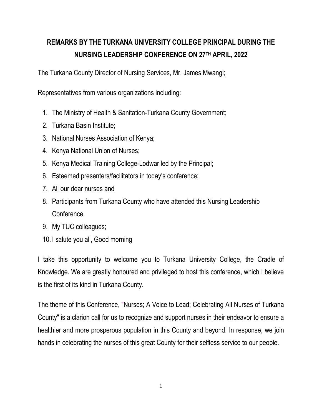## **REMARKS BY THE TURKANA UNIVERSITY COLLEGE PRINCIPAL DURING THE NURSING LEADERSHIP CONFERENCE ON 27TH APRIL, 2022**

The Turkana County Director of Nursing Services, Mr. James Mwangi;

Representatives from various organizations including:

- 1. The Ministry of Health & Sanitation-Turkana County Government;
- 2. Turkana Basin Institute;
- 3. National Nurses Association of Kenya;
- 4. Kenya National Union of Nurses;
- 5. Kenya Medical Training College-Lodwar led by the Principal;
- 6. Esteemed presenters/facilitators in today's conference;
- 7. All our dear nurses and
- 8. Participants from Turkana County who have attended this Nursing Leadership Conference.
- 9. My TUC colleagues;
- 10. I salute you all, Good morning

I take this opportunity to welcome you to Turkana University College, the Cradle of Knowledge. We are greatly honoured and privileged to host this conference, which I believe is the first of its kind in Turkana County.

The theme of this Conference, "Nurses; A Voice to Lead; Celebrating All Nurses of Turkana County" is a clarion call for us to recognize and support nurses in their endeavor to ensure a healthier and more prosperous population in this County and beyond. In response, we join hands in celebrating the nurses of this great County for their selfless service to our people.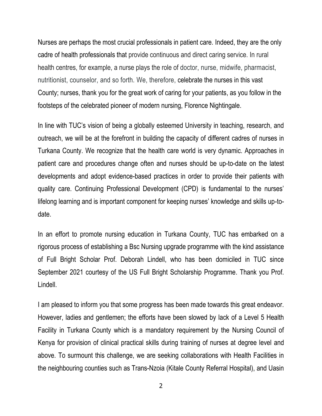Nurses are perhaps the most crucial professionals in patient care. Indeed, they are the only cadre of health professionals that provide continuous and direct caring service. In rural health centres, for example, a nurse plays the role of doctor, nurse, midwife, pharmacist, nutritionist, counselor, and so forth. We, therefore, celebrate the nurses in this vast County; nurses, thank you for the great work of caring for your patients, as you follow in the footsteps of the celebrated pioneer of modern nursing, Florence Nightingale.

In line with TUC's vision of being a globally esteemed University in teaching, research, and outreach, we will be at the forefront in building the capacity of different cadres of nurses in Turkana County. We recognize that the health care world is very dynamic. Approaches in patient care and procedures change often and nurses should be up-to-date on the latest developments and adopt evidence-based practices in order to provide their patients with quality care. Continuing Professional Development (CPD) is fundamental to the nurses' lifelong learning and is important component for keeping nurses' knowledge and skills up-todate.

In an effort to promote nursing education in Turkana County, TUC has embarked on a rigorous process of establishing a Bsc Nursing upgrade programme with the kind assistance of Full Bright Scholar Prof. Deborah Lindell, who has been domiciled in TUC since September 2021 courtesy of the US Full Bright Scholarship Programme. Thank you Prof. Lindell.

I am pleased to inform you that some progress has been made towards this great endeavor. However, ladies and gentlemen; the efforts have been slowed by lack of a Level 5 Health Facility in Turkana County which is a mandatory requirement by the Nursing Council of Kenya for provision of clinical practical skills during training of nurses at degree level and above. To surmount this challenge, we are seeking collaborations with Health Facilities in the neighbouring counties such as Trans-Nzoia (Kitale County Referral Hospital), and Uasin

2